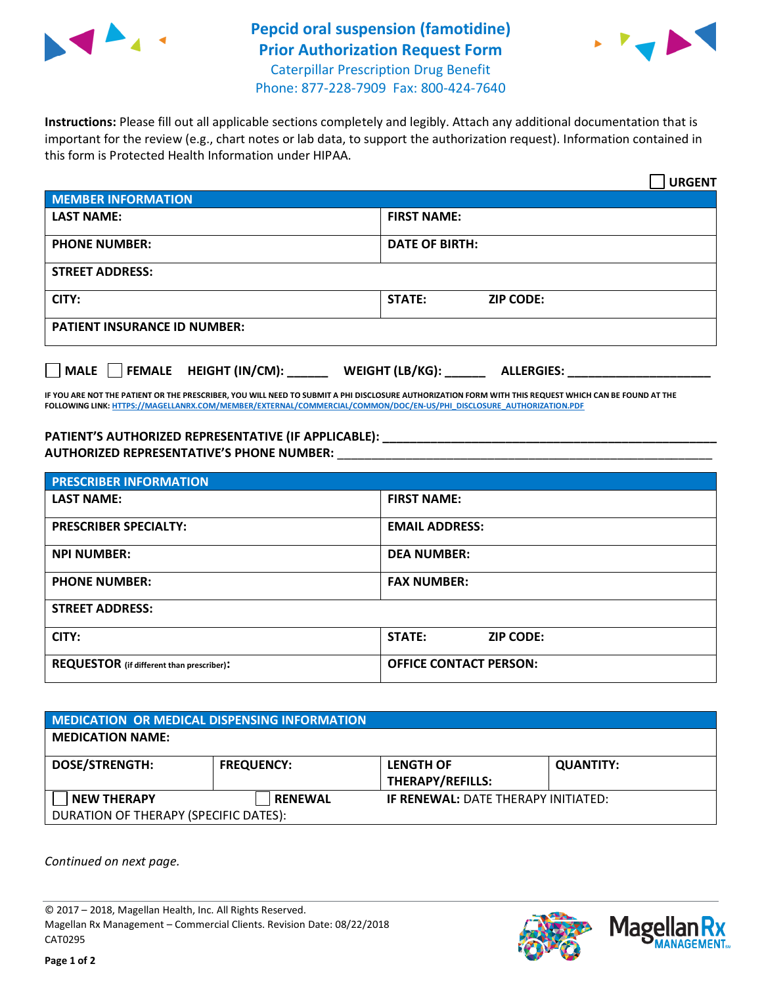

## **Pepcid oral suspension (famotidine) Prior Authorization Request Form** Caterpillar Prescription Drug Benefit



Phone: 877-228-7909 Fax: 800-424-7640

**Instructions:** Please fill out all applicable sections completely and legibly. Attach any additional documentation that is important for the review (e.g., chart notes or lab data, to support the authorization request). Information contained in this form is Protected Health Information under HIPAA.

|                                       | <b>URGENT</b>                        |  |  |  |
|---------------------------------------|--------------------------------------|--|--|--|
| <b>MEMBER INFORMATION</b>             |                                      |  |  |  |
| <b>LAST NAME:</b>                     | <b>FIRST NAME:</b>                   |  |  |  |
| <b>PHONE NUMBER:</b>                  | <b>DATE OF BIRTH:</b>                |  |  |  |
| <b>STREET ADDRESS:</b>                |                                      |  |  |  |
| CITY:                                 | STATE:<br><b>ZIP CODE:</b>           |  |  |  |
| <b>PATIENT INSURANCE ID NUMBER:</b>   |                                      |  |  |  |
| FEMALE HEIGHT (IN/CM):<br><b>MALE</b> | WEIGHT (LB/KG):<br><b>ALLERGIES:</b> |  |  |  |

**IF YOU ARE NOT THE PATIENT OR THE PRESCRIBER, YOU WILL NEED TO SUBMIT A PHI DISCLOSURE AUTHORIZATION FORM WITH THIS REQUEST WHICH CAN BE FOUND AT THE FOLLOWING LINK[: HTTPS://MAGELLANRX.COM/MEMBER/EXTERNAL/COMMERCIAL/COMMON/DOC/EN-US/PHI\\_DISCLOSURE\\_AUTHORIZATION.PDF](https://magellanrx.com/member/external/commercial/common/doc/en-us/PHI_Disclosure_Authorization.pdf)**

**PATIENT'S AUTHORIZED REPRESENTATIVE (IF APPLICABLE): \_\_\_\_\_\_\_\_\_\_\_\_\_\_\_\_\_\_\_\_\_\_\_\_\_\_\_\_\_\_\_\_\_\_\_\_\_\_\_\_\_\_\_\_\_\_\_\_\_ AUTHORIZED REPRESENTATIVE'S PHONE NUMBER:** \_\_\_\_\_\_\_\_\_\_\_\_\_\_\_\_\_\_\_\_\_\_\_\_\_\_\_\_\_\_\_\_\_\_\_\_\_\_\_\_\_\_\_\_\_\_\_\_\_\_\_\_\_\_\_

| <b>PRESCRIBER INFORMATION</b>             |                                   |  |  |  |
|-------------------------------------------|-----------------------------------|--|--|--|
| <b>LAST NAME:</b>                         | <b>FIRST NAME:</b>                |  |  |  |
| <b>PRESCRIBER SPECIALTY:</b>              | <b>EMAIL ADDRESS:</b>             |  |  |  |
| <b>NPI NUMBER:</b>                        | <b>DEA NUMBER:</b>                |  |  |  |
| <b>PHONE NUMBER:</b>                      | <b>FAX NUMBER:</b>                |  |  |  |
| <b>STREET ADDRESS:</b>                    |                                   |  |  |  |
| CITY:                                     | <b>STATE:</b><br><b>ZIP CODE:</b> |  |  |  |
| REQUESTOR (if different than prescriber): | <b>OFFICE CONTACT PERSON:</b>     |  |  |  |

| MEDICATION OR MEDICAL DISPENSING INFORMATION |                   |                                            |                  |  |  |
|----------------------------------------------|-------------------|--------------------------------------------|------------------|--|--|
| <b>MEDICATION NAME:</b>                      |                   |                                            |                  |  |  |
| <b>DOSE/STRENGTH:</b>                        | <b>FREQUENCY:</b> | <b>LENGTH OF</b>                           | <b>QUANTITY:</b> |  |  |
|                                              |                   | <b>THERAPY/REFILLS:</b>                    |                  |  |  |
| <b>NEW THERAPY</b>                           | <b>RENEWAL</b>    | <b>IF RENEWAL: DATE THERAPY INITIATED:</b> |                  |  |  |
| DURATION OF THERAPY (SPECIFIC DATES):        |                   |                                            |                  |  |  |

*Continued on next page.*

© 2017 – 2018, Magellan Health, Inc. All Rights Reserved. Magellan Rx Management – Commercial Clients. Revision Date: 08/22/2018 CAT0295